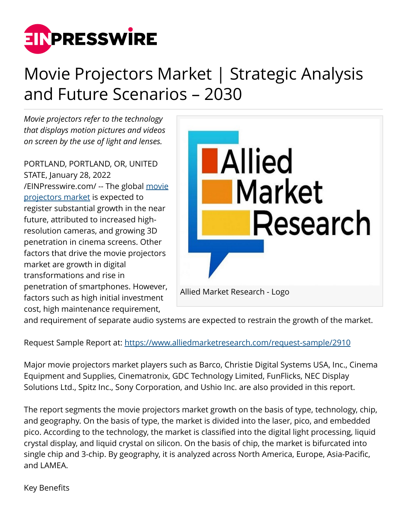

## Movie Projectors Market | Strategic Analysis and Future Scenarios – 2030

*Movie projectors refer to the technology that displays motion pictures and videos on screen by the use of light and lenses.* 

PORTLAND, PORTLAND, OR, UNITED STATE, January 28, 2022 [/EINPresswire.com/](http://www.einpresswire.com) -- The global [movie](https://www.alliedmarketresearch.com/movie-projectors-market) [projectors market](https://www.alliedmarketresearch.com/movie-projectors-market) is expected to register substantial growth in the near future, attributed to increased highresolution cameras, and growing 3D penetration in cinema screens. Other factors that drive the movie projectors market are growth in digital transformations and rise in penetration of smartphones. However, factors such as high initial investment cost, high maintenance requirement,



and requirement of separate audio systems are expected to restrain the growth of the market.

Request Sample Report at:<https://www.alliedmarketresearch.com/request-sample/2910>

Major movie projectors market players such as Barco, Christie Digital Systems USA, Inc., Cinema Equipment and Supplies, Cinematronix, GDC Technology Limited, FunFlicks, NEC Display Solutions Ltd., Spitz Inc., Sony Corporation, and Ushio Inc. are also provided in this report.

The report segments the movie projectors market growth on the basis of type, technology, chip, and geography. On the basis of type, the market is divided into the laser, pico, and embedded pico. According to the technology, the market is classified into the digital light processing, liquid crystal display, and liquid crystal on silicon. On the basis of chip, the market is bifurcated into single chip and 3-chip. By geography, it is analyzed across North America, Europe, Asia-Pacific, and LAMEA.

Key Benefits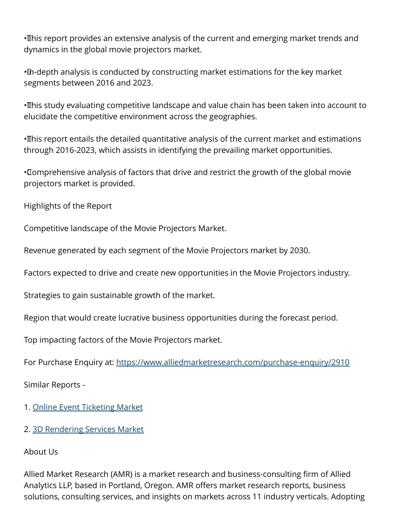· This report provides an extensive analysis of the current and emerging market trends and dynamics in the global movie projectors market.

•In-depth analysis is conducted by constructing market estimations for the key market segments between 2016 and 2023.

• This study evaluating competitive landscape and value chain has been taken into account to elucidate the competitive environment across the geographies.

• This report entails the detailed quantitative analysis of the current market and estimations through 2016-2023, which assists in identifying the prevailing market opportunities.

• Comprehensive analysis of factors that drive and restrict the growth of the global movie projectors market is provided.

Highlights of the Report

Competitive landscape of the Movie Projectors Market.

Revenue generated by each segment of the Movie Projectors market by 2030.

Factors expected to drive and create new opportunities in the Movie Projectors industry.

Strategies to gain sustainable growth of the market.

Region that would create lucrative business opportunities during the forecast period.

Top impacting factors of the Movie Projectors market.

For Purchase Enquiry at: <https://www.alliedmarketresearch.com/purchase-enquiry/2910>

Similar Reports -

1. [Online Event Ticketing Market](https://www.alliedmarketresearch.com/online-event-ticketing-market-A07492)

2. [3D Rendering Services Market](https://www.alliedmarketresearch.com/3d-rendering-services-market)

About Us

Allied Market Research (AMR) is a market research and business-consulting firm of Allied Analytics LLP, based in Portland, Oregon. AMR offers market research reports, business solutions, consulting services, and insights on markets across 11 industry verticals. Adopting